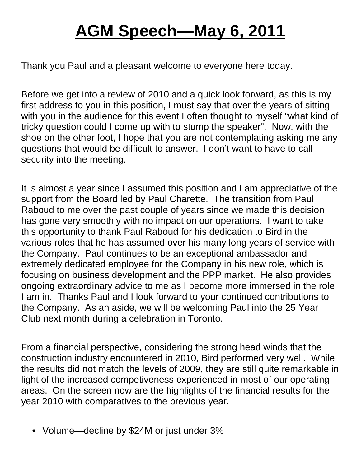## **AGM Speech—May 6, 2011**

Thank you Paul and a pleasant welcome to everyone here today.

Before we get into a review of 2010 and a quick look forward, as this is my first address to you in this position, I must say that over the years of sitting with you in the audience for this event I often thought to myself "what kind of tricky question could I come up with to stump the speaker". Now, with the shoe on the other foot, I hope that you are not contemplating asking me any questions that would be difficult to answer. I don't want to have to call security into the meeting.

It is almost a year since I assumed this position and I am appreciative of the support from the Board led by Paul Charette. The transition from Paul Raboud to me over the past couple of years since we made this decision has gone very smoothly with no impact on our operations. I want to take this opportunity to thank Paul Raboud for his dedication to Bird in the various roles that he has assumed over his many long years of service with the Company. Paul continues to be an exceptional ambassador and extremely dedicated employee for the Company in his new role, which is focusing on business development and the PPP market. He also provides ongoing extraordinary advice to me as I become more immersed in the role I am in. Thanks Paul and I look forward to your continued contributions to the Company. As an aside, we will be welcoming Paul into the 25 Year Club next month during a celebration in Toronto.

From a financial perspective, considering the strong head winds that the construction industry encountered in 2010, Bird performed very well. While the results did not match the levels of 2009, they are still quite remarkable in light of the increased competiveness experienced in most of our operating areas. On the screen now are the highlights of the financial results for the year 2010 with comparatives to the previous year.

• Volume—decline by \$24M or just under 3%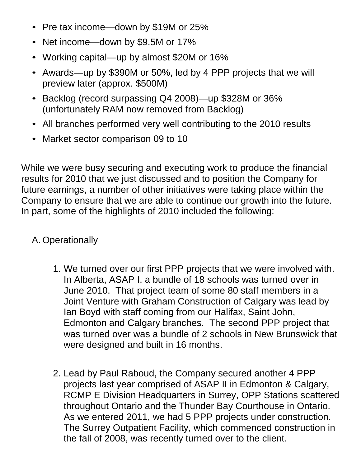- Pre tax income—down by \$19M or 25%
- Net income—down by \$9.5M or 17%
- Working capital—up by almost \$20M or 16%
- Awards—up by \$390M or 50%, led by 4 PPP projects that we will preview later (approx. \$500M)
- Backlog (record surpassing Q4 2008)—up \$328M or 36% (unfortunately RAM now removed from Backlog)
- All branches performed very well contributing to the 2010 results
- Market sector comparison 09 to 10

While we were busy securing and executing work to produce the financial results for 2010 that we just discussed and to position the Company for future earnings, a number of other initiatives were taking place within the Company to ensure that we are able to continue our growth into the future. In part, some of the highlights of 2010 included the following:

## A. Operationally

- 1. We turned over our first PPP projects that we were involved with. In Alberta, ASAP I, a bundle of 18 schools was turned over in June 2010. That project team of some 80 staff members in a Joint Venture with Graham Construction of Calgary was lead by Ian Boyd with staff coming from our Halifax, Saint John, Edmonton and Calgary branches. The second PPP project that was turned over was a bundle of 2 schools in New Brunswick that were designed and built in 16 months.
- 2. Lead by Paul Raboud, the Company secured another 4 PPP projects last year comprised of ASAP II in Edmonton & Calgary, RCMP E Division Headquarters in Surrey, OPP Stations scattered throughout Ontario and the Thunder Bay Courthouse in Ontario. As we entered 2011, we had 5 PPP projects under construction. The Surrey Outpatient Facility, which commenced construction in the fall of 2008, was recently turned over to the client.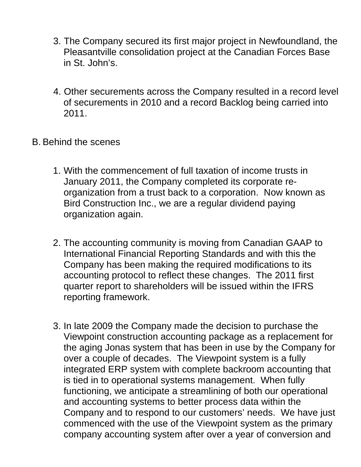- 3. The Company secured its first major project in Newfoundland, the Pleasantville consolidation project at the Canadian Forces Base in St. John's.
- 4. Other securements across the Company resulted in a record level of securements in 2010 and a record Backlog being carried into 2011.
- B. Behind the scenes
	- 1. With the commencement of full taxation of income trusts in January 2011, the Company completed its corporate reorganization from a trust back to a corporation. Now known as Bird Construction Inc., we are a regular dividend paying organization again.
	- 2. The accounting community is moving from Canadian GAAP to International Financial Reporting Standards and with this the Company has been making the required modifications to its accounting protocol to reflect these changes. The 2011 first quarter report to shareholders will be issued within the IFRS reporting framework.
	- 3. In late 2009 the Company made the decision to purchase the Viewpoint construction accounting package as a replacement for the aging Jonas system that has been in use by the Company for over a couple of decades. The Viewpoint system is a fully integrated ERP system with complete backroom accounting that is tied in to operational systems management. When fully functioning, we anticipate a streamlining of both our operational and accounting systems to better process data within the Company and to respond to our customers' needs. We have just commenced with the use of the Viewpoint system as the primary company accounting system after over a year of conversion and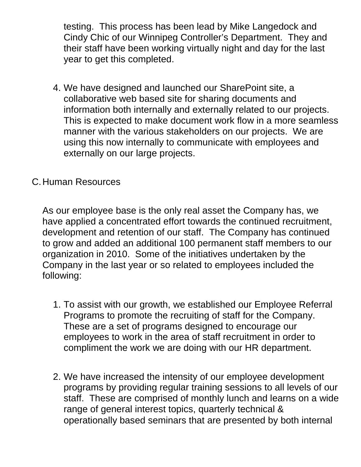testing. This process has been lead by Mike Langedock and Cindy Chic of our Winnipeg Controller's Department. They and their staff have been working virtually night and day for the last year to get this completed.

4. We have designed and launched our SharePoint site, a collaborative web based site for sharing documents and information both internally and externally related to our projects. This is expected to make document work flow in a more seamless manner with the various stakeholders on our projects. We are using this now internally to communicate with employees and externally on our large projects.

## C.Human Resources

As our employee base is the only real asset the Company has, we have applied a concentrated effort towards the continued recruitment, development and retention of our staff. The Company has continued to grow and added an additional 100 permanent staff members to our organization in 2010. Some of the initiatives undertaken by the Company in the last year or so related to employees included the following:

- 1. To assist with our growth, we established our Employee Referral Programs to promote the recruiting of staff for the Company. These are a set of programs designed to encourage our employees to work in the area of staff recruitment in order to compliment the work we are doing with our HR department.
- 2. We have increased the intensity of our employee development programs by providing regular training sessions to all levels of our staff. These are comprised of monthly lunch and learns on a wide range of general interest topics, quarterly technical & operationally based seminars that are presented by both internal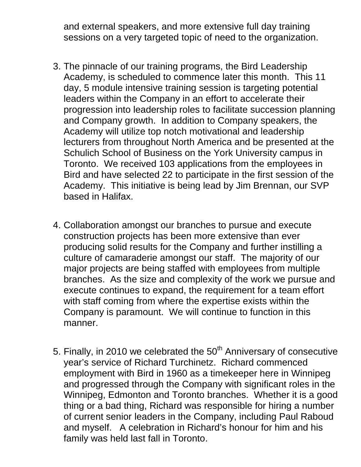and external speakers, and more extensive full day training sessions on a very targeted topic of need to the organization.

- 3. The pinnacle of our training programs, the Bird Leadership Academy, is scheduled to commence later this month. This 11 day, 5 module intensive training session is targeting potential leaders within the Company in an effort to accelerate their progression into leadership roles to facilitate succession planning and Company growth. In addition to Company speakers, the Academy will utilize top notch motivational and leadership lecturers from throughout North America and be presented at the Schulich School of Business on the York University campus in Toronto. We received 103 applications from the employees in Bird and have selected 22 to participate in the first session of the Academy. This initiative is being lead by Jim Brennan, our SVP based in Halifax.
- 4. Collaboration amongst our branches to pursue and execute construction projects has been more extensive than ever producing solid results for the Company and further instilling a culture of camaraderie amongst our staff. The majority of our major projects are being staffed with employees from multiple branches. As the size and complexity of the work we pursue and execute continues to expand, the requirement for a team effort with staff coming from where the expertise exists within the Company is paramount. We will continue to function in this manner.
- 5. Finally, in 2010 we celebrated the  $50<sup>th</sup>$  Anniversary of consecutive year's service of Richard Turchinetz. Richard commenced employment with Bird in 1960 as a timekeeper here in Winnipeg and progressed through the Company with significant roles in the Winnipeg, Edmonton and Toronto branches. Whether it is a good thing or a bad thing, Richard was responsible for hiring a number of current senior leaders in the Company, including Paul Raboud and myself. A celebration in Richard's honour for him and his family was held last fall in Toronto.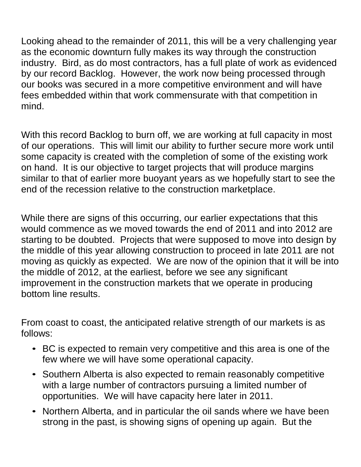Looking ahead to the remainder of 2011, this will be a very challenging year as the economic downturn fully makes its way through the construction industry. Bird, as do most contractors, has a full plate of work as evidenced by our record Backlog. However, the work now being processed through our books was secured in a more competitive environment and will have fees embedded within that work commensurate with that competition in mind.

With this record Backlog to burn off, we are working at full capacity in most of our operations. This will limit our ability to further secure more work until some capacity is created with the completion of some of the existing work on hand. It is our objective to target projects that will produce margins similar to that of earlier more buoyant years as we hopefully start to see the end of the recession relative to the construction marketplace.

While there are signs of this occurring, our earlier expectations that this would commence as we moved towards the end of 2011 and into 2012 are starting to be doubted. Projects that were supposed to move into design by the middle of this year allowing construction to proceed in late 2011 are not moving as quickly as expected. We are now of the opinion that it will be into the middle of 2012, at the earliest, before we see any significant improvement in the construction markets that we operate in producing bottom line results.

From coast to coast, the anticipated relative strength of our markets is as follows:

- BC is expected to remain very competitive and this area is one of the few where we will have some operational capacity.
- Southern Alberta is also expected to remain reasonably competitive with a large number of contractors pursuing a limited number of opportunities. We will have capacity here later in 2011.
- Northern Alberta, and in particular the oil sands where we have been strong in the past, is showing signs of opening up again. But the